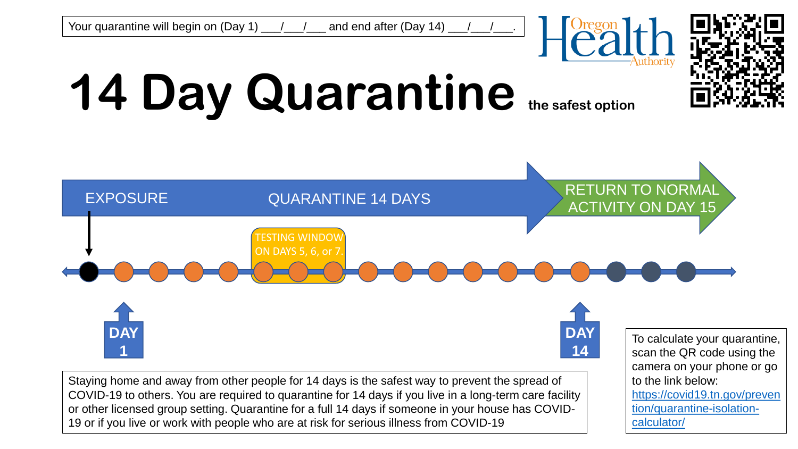



## **14 Day Quarantine the safest option**



19 or if you live or work with people who are at risk for serious illness from COVID-19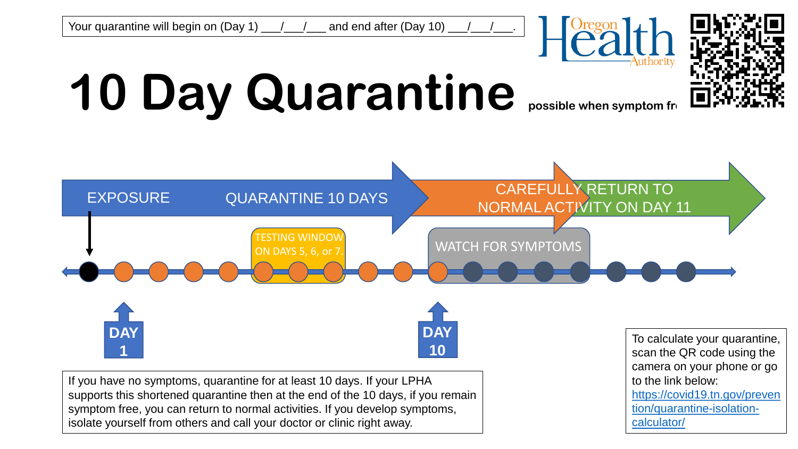



## **10 Day Quarantine possible when symptom free**







If you have no symptoms, quarantine for at least 10 days. If your LPHA supports this shortened quarantine then at the end of the 10 days, if you remain symptom free, you can return to normal activities. If you develop symptoms, isolate yourself from others and call your doctor or clinic right away.

To calculate your quarantine, scan the QR code using the camera on your phone or go to the link below: [https://covid19.tn.gov/preven](https://covid19.tn.gov/prevention/quarantine-isolation-calculator/) tion/quarantine-isolationcalculator/